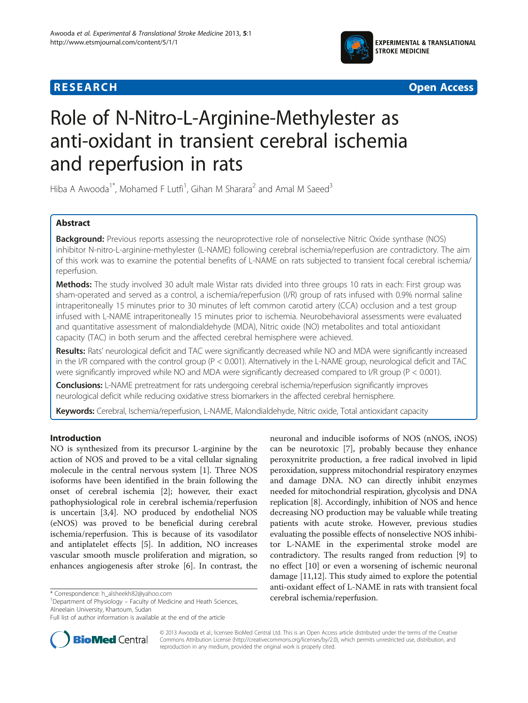





# Role of N-Nitro-L-Arginine-Methylester as anti-oxidant in transient cerebral ischemia and reperfusion in rats

Hiba A Awooda<sup>1\*</sup>, Mohamed F Lutfi<sup>1</sup>, Gihan M Sharara<sup>2</sup> and Amal M Saeed<sup>3</sup>

# Abstract

Background: Previous reports assessing the neuroprotective role of nonselective Nitric Oxide synthase (NOS) inhibitor N-nitro-L-arginine-methylester (L-NAME) following cerebral ischemia/reperfusion are contradictory. The aim of this work was to examine the potential benefits of L-NAME on rats subjected to transient focal cerebral ischemia/ reperfusion.

Methods: The study involved 30 adult male Wistar rats divided into three groups 10 rats in each: First group was sham-operated and served as a control, a ischemia/reperfusion (I/R) group of rats infused with 0.9% normal saline intraperitoneally 15 minutes prior to 30 minutes of left common carotid artery (CCA) occlusion and a test group infused with L-NAME intraperitoneally 15 minutes prior to ischemia. Neurobehavioral assessments were evaluated and quantitative assessment of malondialdehyde (MDA), Nitric oxide (NO) metabolites and total antioxidant capacity (TAC) in both serum and the affected cerebral hemisphere were achieved.

Results: Rats' neurological deficit and TAC were significantly decreased while NO and MDA were significantly increased in the I/R compared with the control group (P < 0.001). Alternatively in the L-NAME group, neurological deficit and TAC were significantly improved while NO and MDA were significantly decreased compared to I/R group (P < 0.001).

**Conclusions:** L-NAME pretreatment for rats undergoing cerebral ischemia/reperfusion significantly improves neurological deficit while reducing oxidative stress biomarkers in the affected cerebral hemisphere.

Keywords: Cerebral, Ischemia/reperfusion, L-NAME, Malondialdehyde, Nitric oxide, Total antioxidant capacity

## Introduction

NO is synthesized from its precursor L-arginine by the action of NOS and proved to be a vital cellular signaling molecule in the central nervous system [\[1](#page-4-0)]. Three NOS isoforms have been identified in the brain following the onset of cerebral ischemia [\[2](#page-4-0)]; however, their exact pathophysiological role in cerebral ischemia/reperfusion is uncertain [\[3,4](#page-4-0)]. NO produced by endothelial NOS (eNOS) was proved to be beneficial during cerebral ischemia/reperfusion. This is because of its vasodilator and antiplatelet effects [\[5](#page-4-0)]. In addition, NO increases vascular smooth muscle proliferation and migration, so enhances angiogenesis after stroke [[6\]](#page-4-0). In contrast, the

cerebral ischemia/reperfusion. \* Correspondence: [h\\_alsheekh82@yahoo.com](mailto:h_alsheekh82@yahoo.com) <sup>1</sup> Department of Physiology – Faculty of Medicine and Heath Sciences, Alneelain University, Khartoum, Sudan

neuronal and inducible isoforms of NOS (nNOS, iNOS) can be neurotoxic [\[7](#page-4-0)], probably because they enhance peroxynitrite production, a free radical involved in lipid peroxidation, suppress mitochondrial respiratory enzymes and damage DNA. NO can directly inhibit enzymes needed for mitochondrial respiration, glycolysis and DNA replication [[8\]](#page-4-0). Accordingly, inhibition of NOS and hence decreasing NO production may be valuable while treating patients with acute stroke. However, previous studies evaluating the possible effects of nonselective NOS inhibitor L-NAME in the experimental stroke model are contradictory. The results ranged from reduction [\[9\]](#page-4-0) to no effect [[10](#page-4-0)] or even a worsening of ischemic neuronal damage [[11,12](#page-4-0)]. This study aimed to explore the potential anti-oxidant effect of L-NAME in rats with transient focal



© 2013 Awooda et al.; licensee BioMed Central Ltd. This is an Open Access article distributed under the terms of the Creative Commons Attribution License [\(http://creativecommons.org/licenses/by/2.0\)](http://creativecommons.org/licenses/by/2.0), which permits unrestricted use, distribution, and reproduction in any medium, provided the original work is properly cited.

Full list of author information is available at the end of the article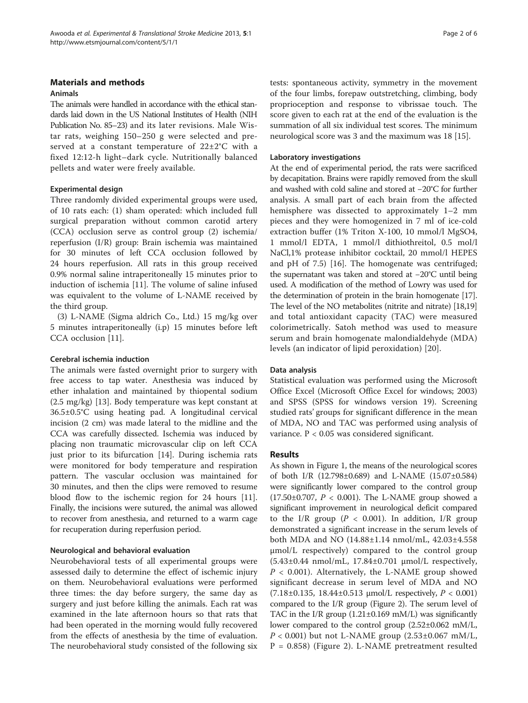## Materials and methods

#### Animals

The animals were handled in accordance with the ethical standards laid down in the US National Institutes of Health (NIH Publication No. 85–23) and its later revisions. Male Wistar rats, weighing 150–250 g were selected and preserved at a constant temperature of 22±2°C with a fixed 12:12-h light–dark cycle. Nutritionally balanced pellets and water were freely available.

## Experimental design

Three randomly divided experimental groups were used, of 10 rats each: (1) sham operated: which included full surgical preparation without common carotid artery (CCA) occlusion serve as control group (2) ischemia/ reperfusion (I/R) group: Brain ischemia was maintained for 30 minutes of left CCA occlusion followed by 24 hours reperfusion. All rats in this group received 0.9% normal saline intraperitoneally 15 minutes prior to induction of ischemia [\[11](#page-4-0)]. The volume of saline infused was equivalent to the volume of L-NAME received by the third group.

(3) L-NAME (Sigma aldrich Co., Ltd.) 15 mg/kg over 5 minutes intraperitoneally (i.p) 15 minutes before left CCA occlusion [[11\]](#page-4-0).

## Cerebral ischemia induction

The animals were fasted overnight prior to surgery with free access to tap water. Anesthesia was induced by ether inhalation and maintained by thiopental sodium (2.5 mg/kg) [[13](#page-4-0)]. Body temperature was kept constant at 36.5±0.5°C using heating pad. A longitudinal cervical incision (2 cm) was made lateral to the midline and the CCA was carefully dissected. Ischemia was induced by placing non traumatic microvascular clip on left CCA just prior to its bifurcation [\[14](#page-4-0)]. During ischemia rats were monitored for body temperature and respiration pattern. The vascular occlusion was maintained for 30 minutes, and then the clips were removed to resume blood flow to the ischemic region for 24 hours [\[11](#page-4-0)]. Finally, the incisions were sutured, the animal was allowed to recover from anesthesia, and returned to a warm cage for recuperation during reperfusion period.

## Neurological and behavioral evaluation

Neurobehavioral tests of all experimental groups were assessed daily to determine the effect of ischemic injury on them. Neurobehavioral evaluations were performed three times: the day before surgery, the same day as surgery and just before killing the animals. Each rat was examined in the late afternoon hours so that rats that had been operated in the morning would fully recovered from the effects of anesthesia by the time of evaluation. The neurobehavioral study consisted of the following six tests: spontaneous activity, symmetry in the movement of the four limbs, forepaw outstretching, climbing, body proprioception and response to vibrissae touch. The score given to each rat at the end of the evaluation is the summation of all six individual test scores. The minimum neurological score was 3 and the maximum was 18 [[15\]](#page-4-0).

#### Laboratory investigations

At the end of experimental period, the rats were sacrificed by decapitation. Brains were rapidly removed from the skull and washed with cold saline and stored at −20°C for further analysis. A small part of each brain from the affected hemisphere was dissected to approximately 1–2 mm pieces and they were homogenized in 7 ml of ice-cold extraction buffer (1% Triton X-100, 10 mmol/l MgSO4, 1 mmol/l EDTA, 1 mmol/l dithiothreitol, 0.5 mol/l NaCl,1% protease inhibitor cocktail, 20 mmol/l HEPES and pH of 7.5) [[16\]](#page-4-0). The homogenate was centrifuged; the supernatant was taken and stored at −20°C until being used. A modification of the method of Lowry was used for the determination of protein in the brain homogenate [\[17](#page-4-0)]. The level of the NO metabolites (nitrite and nitrate) [[18,19](#page-4-0)] and total antioxidant capacity (TAC) were measured colorimetrically. Satoh method was used to measure serum and brain homogenate malondialdehyde (MDA) levels (an indicator of lipid peroxidation) [\[20](#page-4-0)].

## Data analysis

Statistical evaluation was performed using the Microsoft Office Excel (Microsoft Office Excel for windows; 2003) and SPSS (SPSS for windows version 19). Screening studied rats' groups for significant difference in the mean of MDA, NO and TAC was performed using analysis of variance. P < 0.05 was considered significant.

## Results

As shown in Figure [1](#page-2-0), the means of the neurological scores of both I/R (12.798±0.689) and L-NAME (15.07±0.584) were significantly lower compared to the control group  $(17.50 \pm 0.707, P < 0.001)$ . The L-NAME group showed a significant improvement in neurological deficit compared to the I/R group ( $P < 0.001$ ). In addition, I/R group demonstrated a significant increase in the serum levels of both MDA and NO (14.88±1.14 nmol/mL, 42.03±4.558 μmol/L respectively) compared to the control group  $(5.43\pm0.44 \text{ nmol/mL}, 17.84\pm0.701 \text{ \mu mol/L respectively}$  $P < 0.001$ ). Alternatively, the L-NAME group showed significant decrease in serum level of MDA and NO (7.18±0.135, 18.44±0.513 μmol/L respectively, P < 0.001) compared to the I/R group (Figure [2\)](#page-2-0). The serum level of TAC in the I/R group  $(1.21 \pm 0.169 \text{ m})$  was significantly lower compared to the control group (2.52±0.062 mM/L,  $P < 0.001$ ) but not L-NAME group  $(2.53 \pm 0.067 \text{ mM/L})$ , P = 0.858) (Figure [2\)](#page-2-0). L-NAME pretreatment resulted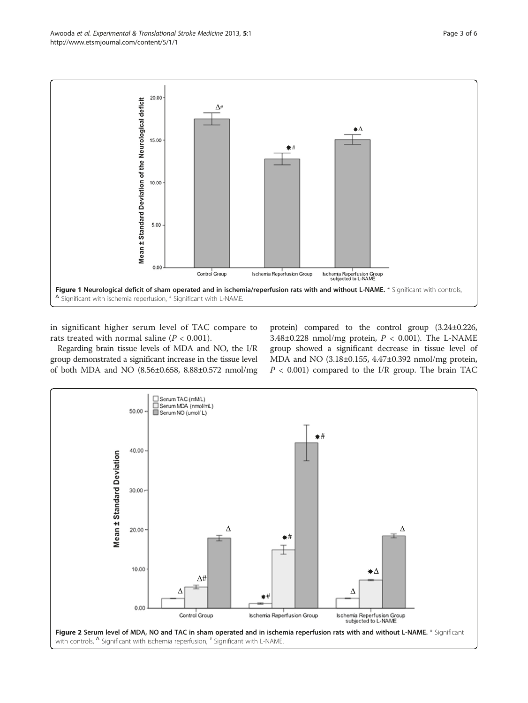<span id="page-2-0"></span>Awooda et al. Experimental & Translational Stroke Medicine 2013, 5:1 experience of the stroke Medicine 2013, 5:1 http://www.etsmjournal.com/content/5/1/1



in significant higher serum level of TAC compare to rats treated with normal saline  $(P < 0.001)$ .

Regarding brain tissue levels of MDA and NO, the I/R group demonstrated a significant increase in the tissue level of both MDA and NO (8.56±0.658, 8.88±0.572 nmol/mg

protein) compared to the control group (3.24±0.226, 3.48±0.228 nmol/mg protein,  $P < 0.001$ ). The L-NAME group showed a significant decrease in tissue level of MDA and NO (3.18±0.155, 4.47±0.392 nmol/mg protein,  $P < 0.001$ ) compared to the I/R group. The brain TAC

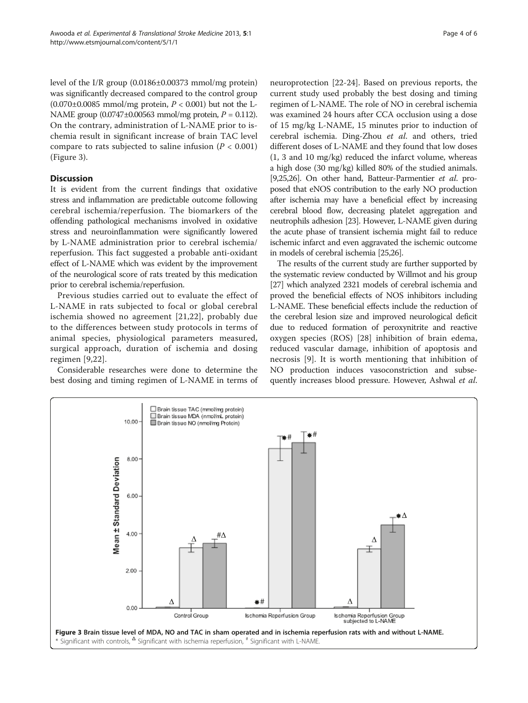level of the I/R group (0.0186±0.00373 mmol/mg protein) was significantly decreased compared to the control group  $(0.070\pm0.0085$  mmol/mg protein,  $P < 0.001$ ) but not the L-NAME group  $(0.0747 \pm 0.00563 \text{ mmol/mg protein}, P = 0.112)$ . On the contrary, administration of L-NAME prior to ischemia result in significant increase of brain TAC level compare to rats subjected to saline infusion ( $P < 0.001$ ) (Figure 3).

## **Discussion**

It is evident from the current findings that oxidative stress and inflammation are predictable outcome following cerebral ischemia/reperfusion. The biomarkers of the offending pathological mechanisms involved in oxidative stress and neuroinflammation were significantly lowered by L-NAME administration prior to cerebral ischemia/ reperfusion. This fact suggested a probable anti-oxidant effect of L-NAME which was evident by the improvement of the neurological score of rats treated by this medication prior to cerebral ischemia/reperfusion.

Previous studies carried out to evaluate the effect of L-NAME in rats subjected to focal or global cerebral ischemia showed no agreement [\[21](#page-4-0),[22](#page-4-0)], probably due to the differences between study protocols in terms of animal species, physiological parameters measured, surgical approach, duration of ischemia and dosing regimen [\[9](#page-4-0),[22](#page-4-0)].

Considerable researches were done to determine the best dosing and timing regimen of L-NAME in terms of

neuroprotection [[22-24](#page-4-0)]. Based on previous reports, the current study used probably the best dosing and timing regimen of L-NAME. The role of NO in cerebral ischemia was examined 24 hours after CCA occlusion using a dose of 15 mg/kg L-NAME, 15 minutes prior to induction of cerebral ischemia. Ding-Zhou et al. and others, tried different doses of L-NAME and they found that low doses (1, 3 and 10 mg/kg) reduced the infarct volume, whereas a high dose (30 mg/kg) killed 80% of the studied animals. [[9,25,26](#page-4-0)]. On other hand, Batteur-Parmentier et al. proposed that eNOS contribution to the early NO production after ischemia may have a beneficial effect by increasing cerebral blood flow, decreasing platelet aggregation and neutrophils adhesion [[23\]](#page-4-0). However, L-NAME given during the acute phase of transient ischemia might fail to reduce ischemic infarct and even aggravated the ischemic outcome in models of cerebral ischemia [\[25,26](#page-4-0)].

The results of the current study are further supported by the systematic review conducted by Willmot and his group [[27](#page-5-0)] which analyzed 2321 models of cerebral ischemia and proved the beneficial effects of NOS inhibitors including L-NAME. These beneficial effects include the reduction of the cerebral lesion size and improved neurological deficit due to reduced formation of peroxynitrite and reactive oxygen species (ROS) [\[28](#page-5-0)] inhibition of brain edema, reduced vascular damage, inhibition of apoptosis and necrosis [\[9](#page-4-0)]. It is worth mentioning that inhibition of NO production induces vasoconstriction and subsequently increases blood pressure. However, Ashwal et al.

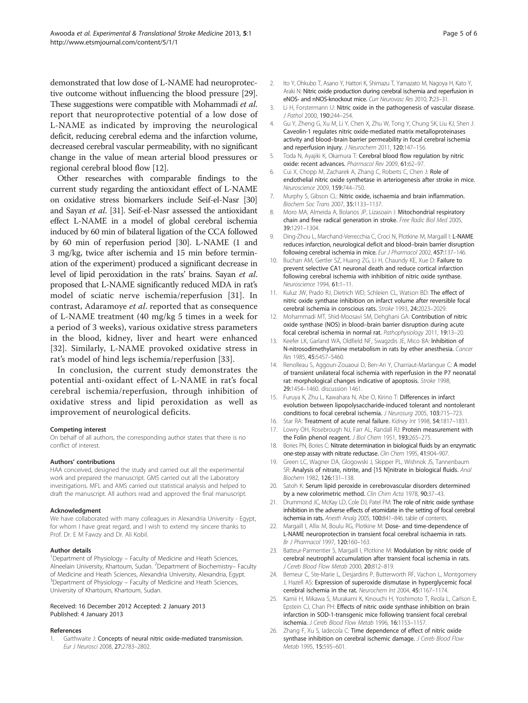<span id="page-4-0"></span>demonstrated that low dose of L-NAME had neuroprotective outcome without influencing the blood pressure [[29](#page-5-0)]. These suggestions were compatible with Mohammadi et al. report that neuroprotective potential of a low dose of L-NAME as indicated by improving the neurological deficit, reducing cerebral edema and the infarction volume, decreased cerebral vascular permeability, with no significant change in the value of mean arterial blood pressures or regional cerebral blood flow [12].

Other researches with comparable findings to the current study regarding the antioxidant effect of L-NAME on oxidative stress biomarkers include Seif-el-Nasr [[30](#page-5-0)] and Sayan et al. [\[31](#page-5-0)]. Seif-el-Nasr assessed the antioxidant effect L-NAME in a model of global cerebral ischemia induced by 60 min of bilateral ligation of the CCA followed by 60 min of reperfusion period [\[30\]](#page-5-0). L-NAME (1 and 3 mg/kg, twice after ischemia and 15 min before termination of the experiment) produced a significant decrease in level of lipid peroxidation in the rats' brains. Sayan et al. proposed that L-NAME significantly reduced MDA in rat's model of sciatic nerve ischemia/reperfusion [\[31](#page-5-0)]. In contrast, Adaramoye et al. reported that as consequence of L-NAME treatment (40 mg/kg 5 times in a week for a period of 3 weeks), various oxidative stress parameters in the blood, kidney, liver and heart were enhanced [[32\]](#page-5-0). Similarly, L-NAME provoked oxidative stress in rat's model of hind legs ischemia/reperfusion [\[33](#page-5-0)].

In conclusion, the current study demonstrates the potential anti-oxidant effect of L-NAME in rat's focal cerebral ischemia/reperfusion, through inhibition of oxidative stress and lipid peroxidation as well as improvement of neurological deficits.

#### Competing interest

On behalf of all authors, the corresponding author states that there is no conflict of interest.

#### Authors' contributions

HAA conceived, designed the study and carried out all the experimental work and prepared the manuscript. GMS carried out all the Laboratory investigations. MFL and AMS carried out statistical analysis and helped to draft the manuscript. All authors read and approved the final manuscript.

#### Acknowledgment

We have collaborated with many colleagues in Alexandria University - Egypt, for whom I have great regard, and I wish to extend my sincere thanks to Prof. Dr. E M Fawzy and Dr. Ali Kobil.

#### Author details

<sup>1</sup>Department of Physiology - Faculty of Medicine and Heath Sciences, Alneelain University, Khartoum, Sudan. <sup>2</sup>Department of Biochemistry- Faculty of Medicine and Heath Sciences, Alexandria University, Alexandria, Egypt. <sup>3</sup>Department of Physiology – Faculty of Medicine and Heath Sciences, University of Khartoum, Khartoum, Sudan.

#### Received: 16 December 2012 Accepted: 2 January 2013 Published: 4 January 2013

#### References

1. Garthwaite J: Concepts of neural nitric oxide-mediated transmission. Eur J Neurosci 2008, 27:2783–2802.

- 2. Ito Y, Ohkubo T, Asano Y, Hattori K, Shimazu T, Yamazato M, Nagoya H, Kato Y, Araki N: Nitric oxide production during cerebral ischemia and reperfusion in eNOS- and nNOS-knockout mice. Curr Neurovasc Res 2010, 7:23–31.
- 3. Li H, Forstermann U: Nitric oxide in the pathogenesis of vascular disease. J Pathol 2000, 190:244–254.
- 4. Gu Y, Zheng G, Xu M, Li Y, Chen X, Zhu W, Tong Y, Chung SK, Liu KJ, Shen J: Caveolin-1 regulates nitric oxide-mediated matrix metalloproteinases activity and blood–brain barrier permeability in focal cerebral ischemia and reperfusion injury. J Neurochem 2011, 120:147-156.
- 5. Toda N, Ayajiki K, Okamura T: Cerebral blood flow regulation by nitric oxide: recent advances. Pharmacol Rev 2009, 61:62–97.
- 6. Cui X, Chopp M, Zacharek A, Zhang C, Roberts C, Chen J: Role of endothelial nitric oxide synthetase in arteriogenesis after stroke in mice. Neuroscience 2009, 159:744–750.
- 7. Murphy S, Gibson CL: Nitric oxide, ischaemia and brain inflammation. Biochem Soc Trans 2007, 35:1133–1137.
- 8. Moro MA, Almeida A, Bolanos JP, Lizasoain I: Mitochondrial respiratory chain and free radical generation in stroke. Free Radic Biol Med 2005, 39:1291–1304.
- 9. Ding-Zhou L, Marchand-Verrecchia C, Croci N, Plotkine M, Margaill I: L-NAME reduces infarction, neurological deficit and blood–brain barrier disruption following cerebral ischemia in mice. Eur J Pharmacol 2002, 457:137–146.
- 10. Buchan AM, Gertler SZ, Huang ZG, Li H, Chaundy KE, Xue D: Failure to prevent selective CA1 neuronal death and reduce cortical infarction following cerebral ischemia with inhibition of nitric oxide synthase. Neuroscience 1994, 61:1–11.
- 11. Kuluz JW, Prado RJ, Dietrich WD, Schleien CL, Watson BD: The effect of nitric oxide synthase inhibition on infarct volume after reversible focal cerebral ischemia in conscious rats. Stroke 1993, 24:2023–2029.
- 12. Mohammadi MT, Shid-Moosavi SM, Dehghani GA: Contribution of nitric oxide synthase (NOS) in blood–brain barrier disruption during acute focal cerebral ischemia in normal rat. Pathophysiology 2011, 19:13–20.
- 13. Keefer LK, Garland WA, Oldfield NF, Swagzdis JE, Mico BA: Inhibition of N-nitrosodimethylamine metabolism in rats by ether anesthesia. Cancer Res 1985, 45:5457–5460.
- 14. Renolleau S, Aggoun-Zouaoui D, Ben-Ari Y, Charriaut-Marlangue C: A model of transient unilateral focal ischemia with reperfusion in the P7 neonatal rat: morphological changes indicative of apoptosis. Stroke 1998, 29:1454–1460. discussion 1461.
- 15. Furuya K, Zhu L, Kawahara N, Abe O, Kirino T: Differences in infarct evolution between lipopolysaccharide-induced tolerant and nontolerant conditions to focal cerebral ischemia. J Neurosurg 2005, 103:715–723.
- 16. Star RA: Treatment of acute renal failure. Kidney Int 1998, 54:1817-1831.
- 17. Lowry OH, Rosebrough NJ, Farr AL, Randall RJ: Protein measurement with the Folin phenol reagent. J Biol Chem 1951, 193:265-275.
- 18. Bories PN, Bories C: Nitrate determination in biological fluids by an enzymatic one-step assay with nitrate reductase. Clin Chem 1995, 41:904–907.
- 19. Green LC, Wagner DA, Glogowski J, Skipper PL, Wishnok JS, Tannenbaum SR: Analysis of nitrate, nitrite, and [15 N]nitrate in biological fluids. Anal Biochem 1982, 126:131–138.
- 20. Satoh K: Serum lipid peroxide in cerebrovascular disorders determined by a new colorimetric method. Clin Chim Acta 1978, 90:37-43.
- 21. Drummond JC, McKay LD, Cole DJ, Patel PM: The role of nitric oxide synthase inhibition in the adverse effects of etomidate in the setting of focal cerebral ischemia in rats. Anesth Analg 2005, 100:841–846. table of contents.
- 22. Margaill I, Allix M, Boulu RG, Plotkine M: Dose- and time-dependence of L-NAME neuroprotection in transient focal cerebral ischaemia in rats. Br J Pharmacol 1997, 120:160–163.
- 23. Batteur-Parmentier S, Margaill I, Plotkine M: Modulation by nitric oxide of cerebral neutrophil accumulation after transient focal ischemia in rats. J Cereb Blood Flow Metab 2000, 20:812-819.
- 24. Bemeur C, Ste-Marie L, Desiardins P, Butterworth RF, Vachon L, Montgomery J, Hazell AS: Expression of superoxide dismutase in hyperglycemic focal cerebral ischemia in the rat. Neurochem Int 2004, 45:1167–1174.
- 25. Kamii H, Mikawa S, Murakami K, Kinouchi H, Yoshimoto T, Reola L, Carlson E, Epstein CJ, Chan PH: Effects of nitric oxide synthase inhibition on brain infarction in SOD-1-transgenic mice following transient focal cerebral ischemia. J Cereb Blood Flow Metab 1996, 16:1153–1157.
- 26. Zhang F, Xu S, ladecola C: Time dependence of effect of nitric oxide synthase inhibition on cerebral ischemic damage. J Cereb Blood Flow Metab 1995, 15:595–601.